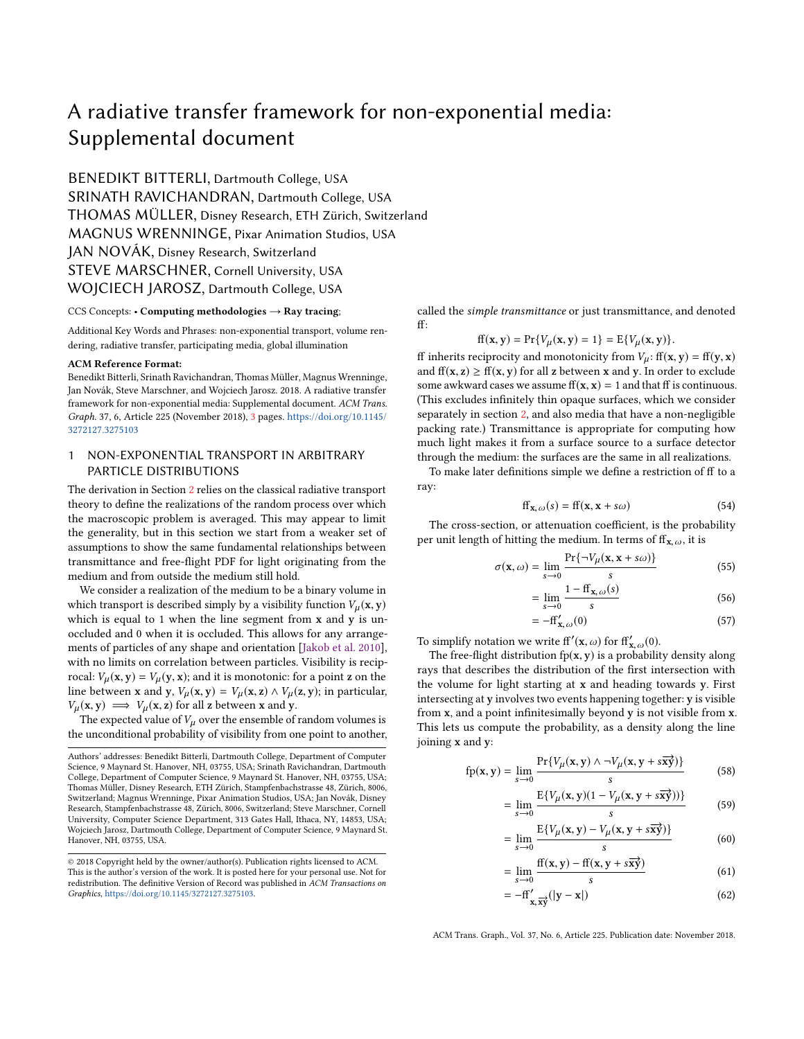# <span id="page-0-0"></span>A radiative transfer framework for non-exponential media: Supplemental document

BENEDIKT BITTERLI, Dartmouth College, USA SRINATH RAVICHANDRAN, Dartmouth College, USA THOMAS MÜLLER, Disney Research, ETH Zürich, Switzerland MAGNUS WRENNINGE, Pixar Animation Studios, USA JAN NOVÁK, Disney Research, Switzerland STEVE MARSCHNER, Cornell University, USA WOJCIECH JAROSZ, Dartmouth College, USA

#### CCS Concepts: • Computing methodologies  $\rightarrow$  Ray tracing;

Additional Key Words and Phrases: non-exponential transport, volume rendering, radiative transfer, participating media, global illumination

#### ACM Reference Format:

Benedikt Bitterli, Srinath Ravichandran, Thomas Müller, Magnus Wrenninge, Jan Novák, Steve Marschner, and Wojciech Jarosz. 2018. A radiative transfer framework for non-exponential media: Supplemental document. ACM Trans. Graph. 37, 6, Article 225 (November 2018), [3](#page-2-0) pages. [https://doi.org/10.1145/](https://doi.org/10.1145/3272127.3275103) [3272127.3275103](https://doi.org/10.1145/3272127.3275103)

# 1 NON-EXPONENTIAL TRANSPORT IN ARBITRARY PARTICLE DISTRIBUTIONS

The derivation in Section [2](#page-1-0) relies on the classical radiative transport theory to define the realizations of the random process over which the macroscopic problem is averaged. This may appear to limit the generality, but in this section we start from a weaker set of assumptions to show the same fundamental relationships between transmittance and free-flight PDF for light originating from the medium and from outside the medium still hold.

We consider a realization of the medium to be a binary volume in which transport is described simply by a visibility function  $V_\mu(\mathbf{x}, \mathbf{y})$ which is equal to 1 when the line segment from x and y is unoccluded and 0 when it is occluded. This allows for any arrangements of particles of any shape and orientation [\[Jakob et al.](#page-2-1) [2010\]](#page-2-1), with no limits on correlation between particles. Visibility is reciprocal:  $V_{\mu}(\mathbf{x}, \mathbf{y}) = V_{\mu}(\mathbf{y}, \mathbf{x})$ ; and it is monotonic: for a point z on the line between x and y,  $V_\mu$ (x, y) =  $V_\mu$ (x, z)  $\wedge$   $V_\mu$ (z, y); in particular,  $V_\mu(\mathbf{x}, \mathbf{y}) \implies V_\mu(\mathbf{x}, \mathbf{z})$  for all z between x and y.

The expected value of  $V_{\mu}$  over the ensemble of random volumes is the unconditional probability of visibility from one point to another,

called the simple transmittance or just transmittance, and denoted ff:

 $ff(x, y) = Pr{V<sub>\mu</sub>(x, y) = 1} = E{V<sub>\mu</sub>(x, y)}.$ 

ff inherits reciprocity and monotonicity from  $V_u$ : ff(x, y) = ff(y, x) and  $ff(x, z) \geq ff(x, y)$  for all z between x and y. In order to exclude some awkward cases we assume  $ff(x, x) = 1$  and that ff is continuous. (This excludes infinitely thin opaque surfaces, which we consider separately in section [2,](#page-1-0) and also media that have a non-negligible packing rate.) Transmittance is appropriate for computing how much light makes it from a surface source to a surface detector through the medium: the surfaces are the same in all realizations.

To make later definitions simple we define a restriction of ff to a ray:

$$
ff_{\mathbf{x},\omega}(s) = ff(\mathbf{x}, \mathbf{x} + s\omega)
$$
 (54)

The cross-section, or attenuation coefficient, is the probability per unit length of hitting the medium. In terms of  $ff_{x,\omega}$ , it is

$$
\sigma(\mathbf{x}, \omega) = \lim_{s \to 0} \frac{\Pr\{\neg V_{\mu}(\mathbf{x}, \mathbf{x} + s\omega)\}}{s}
$$
(55)

$$
= \lim_{s \to 0} \frac{1 - \text{ff}_{\mathbf{x}, \omega}(s)}{s} \tag{56}
$$

$$
=-\mathbf{ff}'_{\mathbf{x},\omega}(0)\tag{57}
$$

To simplify notation we write  $ff'(x, \omega)$  for  $ff'_{x, \omega}(0)$ .<br>The free-flight distribution fp(x, y) is a probability

The free-flight distribution  $fp(x, y)$  is a probability density along rays that describes the distribution of the first intersection with the volume for light starting at x and heading towards y. First intersecting at y involves two events happening together: y is visible from x, and a point infinitesimally beyond y is not visible from x. This lets us compute the probability, as a density along the line joining x and y:

$$
\text{fp}(\mathbf{x}, \mathbf{y}) = \lim_{s \to 0} \frac{\Pr\{V_{\mu}(\mathbf{x}, \mathbf{y}) \land \neg V_{\mu}(\mathbf{x}, \mathbf{y} + s\overrightarrow{\mathbf{x}\mathbf{y}})\}}{s}
$$
(58)

$$
= \lim_{s \to 0} \frac{E\{V_{\mu}(\mathbf{x}, \mathbf{y})(1 - V_{\mu}(\mathbf{x}, \mathbf{y} + s\overrightarrow{\mathbf{x}\mathbf{y}}))\}}{s}
$$
(59)

$$
= \lim_{s \to 0} \frac{\mathrm{E}\{V_{\mu}(\mathbf{x}, \mathbf{y}) - V_{\mu}(\mathbf{x}, \mathbf{y} + s\overrightarrow{\mathbf{x}\mathbf{y}})\}}{s}
$$
(60)

$$
= \lim_{s \to 0} \frac{f(x, y) - f(x, y + s\overrightarrow{xy})}{s}
$$
(61)

$$
=-\mathrm{ff}'_{\mathbf{x},\overrightarrow{\mathbf{x}\mathbf{y}}}(|\mathbf{y}-\mathbf{x}|)\tag{62}
$$

ACM Trans. Graph., Vol. 37, No. 6, Article 225. Publication date: November 2018.

Authors' addresses: Benedikt Bitterli, Dartmouth College, Department of Computer Science, 9 Maynard St. Hanover, NH, 03755, USA; Srinath Ravichandran, Dartmouth College, Department of Computer Science, 9 Maynard St. Hanover, NH, 03755, USA; Thomas Müller, Disney Research, ETH Zürich, Stampfenbachstrasse 48, Zürich, 8006, Switzerland; Magnus Wrenninge, Pixar Animation Studios, USA; Jan Novák, Disney Research, Stampfenbachstrasse 48, Zürich, 8006, Switzerland; Steve Marschner, Cornell University, Computer Science Department, 313 Gates Hall, Ithaca, NY, 14853, USA; Wojciech Jarosz, Dartmouth College, Department of Computer Science, 9 Maynard St. Hanover, NH, 03755, USA.

<sup>©</sup> 2018 Copyright held by the owner/author(s). Publication rights licensed to ACM. This is the author's version of the work. It is posted here for your personal use. Not for redistribution. The definitive Version of Record was published in ACM Transactions on Graphics, [https://doi.org/10.1145/3272127.3275103.](https://doi.org/10.1145/3272127.3275103)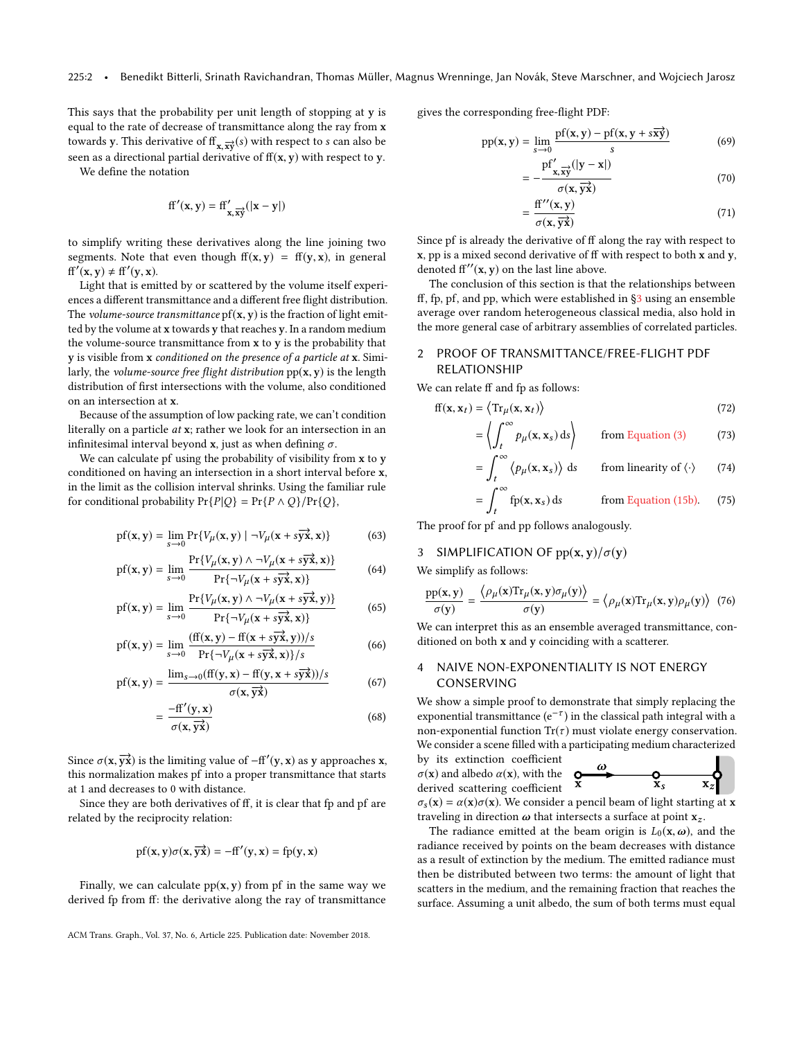This says that the probability per unit length of stopping at y is equal to the rate of decrease of transmittance along the ray from x towards y. This derivative of  $f(x, \vec{x})$  with respect to s can also be<br>seen as a directional partial derivative of  $f(x, y)$  with respect to y seen as a directional partial derivative of  $ff(x, y)$  with respect to y.

We define the notation

$$
ff'(x,y) = ff'_{x,\overrightarrow{xy}}(|x-y|)
$$

to simplify writing these derivatives along the line joining two segments. Note that even though  $f(x, y) = f(y, x)$ , in general  $ff'(x, y) \neq ff'(y, x).$ <br>Light that is emi

Light that is emitted by or scattered by the volume itself experiences a different transmittance and a different free flight distribution. The volume-source transmittance  $pf(x, y)$  is the fraction of light emitted by the volume at x towards y that reaches y. In a random medium the volume-source transmittance from  $x$  to  $y$  is the probability that y is visible from x conditioned on the presence of a particle at x. Similarly, the *volume-source free flight distribution*  $pp(x, y)$  is the length distribution of first intersections with the volume, also conditioned on an intersection at x.

Because of the assumption of low packing rate, we can't condition literally on a particle at x; rather we look for an intersection in an infinitesimal interval beyond x, just as when defining  $\sigma$ .

We can calculate pf using the probability of visibility from x to y conditioned on having an intersection in a short interval before x, in the limit as the collision interval shrinks. Using the familiar rule for conditional probability  $Pr\{P|Q\} = Pr\{P \wedge Q\}/Pr\{Q\},$ 

$$
\text{pf}(\mathbf{x}, \mathbf{y}) = \lim_{s \to 0} \Pr\{V_{\mu}(\mathbf{x}, \mathbf{y}) \mid \neg V_{\mu}(\mathbf{x} + s\overrightarrow{\mathbf{y}\mathbf{x}}, \mathbf{x})\} \tag{63}
$$

$$
pf(x, y) = \lim_{s \to 0} \frac{Pr{V_{\mu}(x, y) \land \neg V_{\mu}(x + s\overrightarrow{yx}, x) } }{Pr{\neg V_{\mu}(x + s\overrightarrow{yx}, x) } }
$$
(64)

$$
pf(x, y) = \lim_{s \to 0} \frac{Pr{V_{\mu}(x, y) \land \neg V_{\mu}(x + s\overrightarrow{yx}, y)}}{Pr{\neg V_{\mu}(x + s\overrightarrow{yx}, x)}}
$$
(65)

$$
pf(x, y) = \lim_{s \to 0} \frac{(ff(x, y) - ff(x + s\overrightarrow{yx}, y))/s}{\Pr{\neg V_\mu(x + s\overrightarrow{yx}, x)}/s}
$$
(66)

$$
pf(x, y) = \frac{\lim_{s \to 0} (ff(y, x) - ff(y, x + s\overrightarrow{yx})) / s}{\sigma(x, \overrightarrow{yx})}
$$
(67)

$$
=\frac{-\mathrm{ff}'(\mathrm{y},\mathrm{x})}{\sigma(\mathrm{x},\overrightarrow{\mathrm{yx}})}\tag{68}
$$

Since  $\sigma(\mathbf{x}, \overrightarrow{\mathbf{y}})$  is the limiting value of  $-f\mathbf{f}'(\mathbf{y}, \mathbf{x})$  as y approaches  $\mathbf{x}$ , this pormulization makes of into a proper transmittance that starts this normalization makes pf into a proper transmittance that starts at 1 and decreases to 0 with distance.

Since they are both derivatives of ff, it is clear that fp and pf are related by the reciprocity relation:

$$
pf(x,y)\sigma(x,\overrightarrow{yx})=-ff'(y,x)=fp(y,x)
$$

Finally, we can calculate  $pp(x, y)$  from pf in the same way we derived fp from ff: the derivative along the ray of transmittance

ACM Trans. Graph., Vol. 37, No. 6, Article 225. Publication date: November 2018.

gives the corresponding free-flight PDF:

$$
pp(x, y) = \lim_{s \to 0} \frac{pf(x, y) - pf(x, y + s\overrightarrow{xy})}{s}
$$
(69)

$$
= -\frac{\text{pf}'_{\mathbf{x},\overrightarrow{\mathbf{x}\mathbf{y}}}(|\mathbf{y}-\mathbf{x}|)}{\sigma(\mathbf{x},\overrightarrow{\mathbf{y}\mathbf{x}})}
$$
(70)

$$
= \frac{ff''(x, y)}{\sigma(x, \overrightarrow{yx})}
$$
(71)

Since pf is already the derivative of ff along the ray with respect to x, pp is a mixed second derivative of ff with respect to both x and y, denoted  $ff''(x, y)$  on the last line above.<br>The conclusion of this section is that

The conclusion of this section is that the relationships between ff, fp, pf, and pp, which were established in [§3](#page-1-1) using an ensemble average over random heterogeneous classical media, also hold in the more general case of arbitrary assemblies of correlated particles.

# <span id="page-1-0"></span>2 PROOF OF TRANSMITTANCE/FREE-FLIGHT PDF RELATIONSHIP

We can relate ff and fp as follows:

$$
ff(x, x_t) = \langle Tr_{\mu}(x, x_t) \rangle
$$
\n
$$
= \langle \int_t^{\infty} p_{\mu}(x, x_s) ds \rangle
$$
 from Equation (3) (73)

 $\mathcal{L} = \mathcal{L}$ 

$$
= \int_{t}^{\infty} \langle p_{\mu}(\mathbf{x}, \mathbf{x}_{s}) \rangle \, \mathrm{d}s \qquad \text{from linearity of } \langle \cdot \rangle \qquad (74)
$$

$$
= \int_{t}^{\infty} \text{fp}(\mathbf{x}, \mathbf{x}_{s}) \, \text{d}s \qquad \text{from Equation (15b).} \tag{75}
$$

The proof for pf and pp follows analogously.

### <span id="page-1-1"></span>3 SIMPLIFICATION OF  $pp(x, y)/\sigma(y)$

We simplify as follows:

$$
\frac{pp(x, y)}{\sigma(y)} = \frac{\langle \rho_{\mu}(x) \text{Tr}_{\mu}(x, y) \sigma_{\mu}(y) \rangle}{\sigma(y)} = \langle \rho_{\mu}(x) \text{Tr}_{\mu}(x, y) \rho_{\mu}(y) \rangle \tag{76}
$$
  
We can interpret this as an ensemble averaged transmittance, con-

ditioned on both x and y coinciding with a scatterer.

# 4 NAIVE NON-EXPONENTIALITY IS NOT ENERGY CONSERVING

We show a simple proof to demonstrate that simply replacing the exponential transmittance ( $e^{-\tau}$ ) in the classical path integral with a non-exponential function  $Tr(\tau)$  must violate energy conservation. We consider a scene filled with a participating medium characterized

by its extinction coefficient  $\sigma(\mathbf{x})$  and albedo  $\alpha(\mathbf{x})$ , with the derived scattering coefficient



 $\sigma_s(\mathbf{x}) = \alpha(\mathbf{x})\sigma(\mathbf{x})$ . We consider a pencil beam of light starting at x traveling in direction  $\omega$  that intersects a surface at point  $x_z$ .

The radiance emitted at the beam origin is  $L_0(\mathbf{x}, \omega)$ , and the radiance received by points on the beam decreases with distance as a result of extinction by the medium. The emitted radiance must then be distributed between two terms: the amount of light that scatters in the medium, and the remaining fraction that reaches the surface. Assuming a unit albedo, the sum of both terms must equal